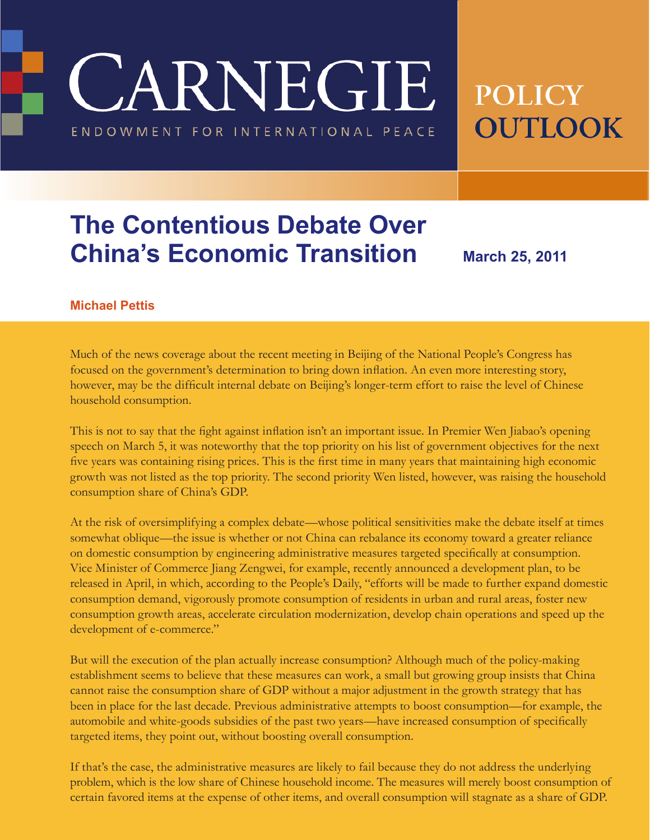**CARNEGIE** 

ENDOWMENT FOR INTERNATIONAL PEACE

# **POLICY OUTLOOK**

## **The Contentious Debate Over China's Economic Transition**

**March 25, 2011**

#### **Michael Pettis**

Much of the news coverage about the recent meeting in Beijing of the National People's Congress has focused on the government's determination to bring down inflation. An even more interesting story, however, may be the difficult internal debate on Beijing's longer-term effort to raise the level of Chinese household consumption.

This is not to say that the fight against inflation isn't an important issue. In Premier Wen Jiabao's opening speech on March 5, it was noteworthy that the top priority on his list of government objectives for the next five years was containing rising prices. This is the first time in many years that maintaining high economic growth was not listed as the top priority. The second priority Wen listed, however, was raising the household consumption share of China's GDP.

At the risk of oversimplifying a complex debate—whose political sensitivities make the debate itself at times somewhat oblique—the issue is whether or not China can rebalance its economy toward a greater reliance on domestic consumption by engineering administrative measures targeted specifically at consumption. Vice Minister of Commerce Jiang Zengwei, for example, recently announced a development plan, to be released in April, in which, according to the People's Daily, "efforts will be made to further expand domestic consumption demand, vigorously promote consumption of residents in urban and rural areas, foster new consumption growth areas, accelerate circulation modernization, develop chain operations and speed up the development of e-commerce."

But will the execution of the plan actually increase consumption? Although much of the policy-making establishment seems to believe that these measures can work, a small but growing group insists that China cannot raise the consumption share of GDP without a major adjustment in the growth strategy that has been in place for the last decade. Previous administrative attempts to boost consumption—for example, the automobile and white-goods subsidies of the past two years—have increased consumption of specifically targeted items, they point out, without boosting overall consumption.

If that's the case, the administrative measures are likely to fail because they do not address the underlying problem, which is the low share of Chinese household income. The measures will merely boost consumption of certain favored items at the expense of other items, and overall consumption will stagnate as a share of GDP.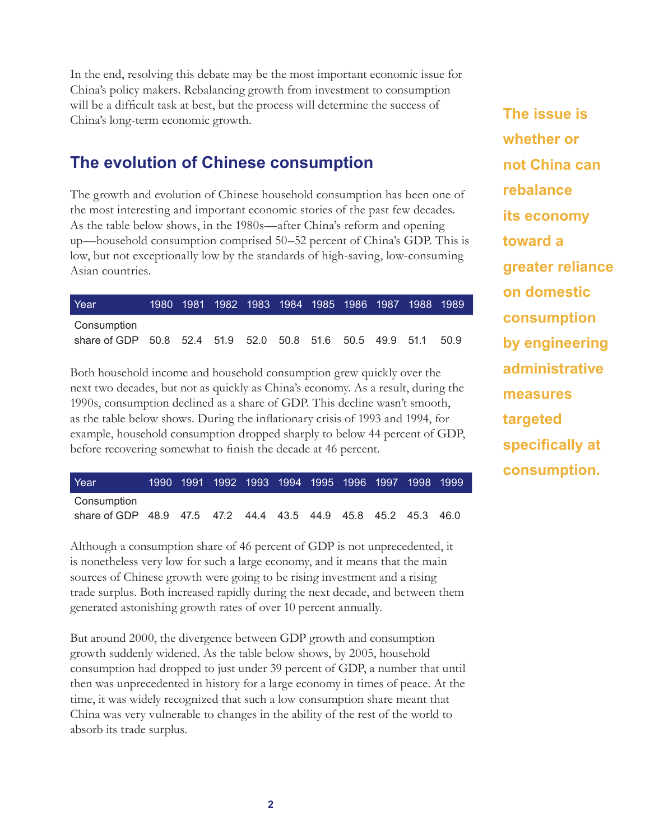In the end, resolving this debate may be the most important economic issue for China's policy makers. Rebalancing growth from investment to consumption will be a difficult task at best, but the process will determine the success of China's long-term economic growth.

## **The evolution of Chinese consumption**

The growth and evolution of Chinese household consumption has been one of the most interesting and important economic stories of the past few decades. As the table below shows, in the 1980s—after China's reform and opening up—household consumption comprised 50–52 percent of China's GDP. This is low, but not exceptionally low by the standards of high-saving, low-consuming Asian countries.

| Year                                                      |  | 1980 1981 1982 1983 1984 1985 1986 1987 1988 1989 |  |  |  |       |
|-----------------------------------------------------------|--|---------------------------------------------------|--|--|--|-------|
| Consumption                                               |  |                                                   |  |  |  |       |
| share of GDP 50.8 52.4 51.9 52.0 50.8 51.6 50.5 49.9 51.1 |  |                                                   |  |  |  | -50.9 |

Both household income and household consumption grew quickly over the next two decades, but not as quickly as China's economy. As a result, during the 1990s, consumption declined as a share of GDP. This decline wasn't smooth, as the table below shows. During the inflationary crisis of 1993 and 1994, for example, household consumption dropped sharply to below 44 percent of GDP, before recovering somewhat to finish the decade at 46 percent.

| Year                                                           |  |  |  |  | 1990 1991 1992 1993 1994 1995 1996 1997 1998 1999 |  |
|----------------------------------------------------------------|--|--|--|--|---------------------------------------------------|--|
| Consumption                                                    |  |  |  |  |                                                   |  |
| share of GDP 48.9 47.5 47.2 44.4 43.5 44.9 45.8 45.2 45.3 46.0 |  |  |  |  |                                                   |  |

Although a consumption share of 46 percent of GDP is not unprecedented, it is nonetheless very low for such a large economy, and it means that the main sources of Chinese growth were going to be rising investment and a rising trade surplus. Both increased rapidly during the next decade, and between them generated astonishing growth rates of over 10 percent annually.

But around 2000, the divergence between GDP growth and consumption growth suddenly widened. As the table below shows, by 2005, household consumption had dropped to just under 39 percent of GDP, a number that until then was unprecedented in history for a large economy in times of peace. At the time, it was widely recognized that such a low consumption share meant that China was very vulnerable to changes in the ability of the rest of the world to absorb its trade surplus.

**The issue is whether or not China can rebalance its economy toward a greater reliance on domestic consumption by engineering administrative measures targeted specifically at consumption.**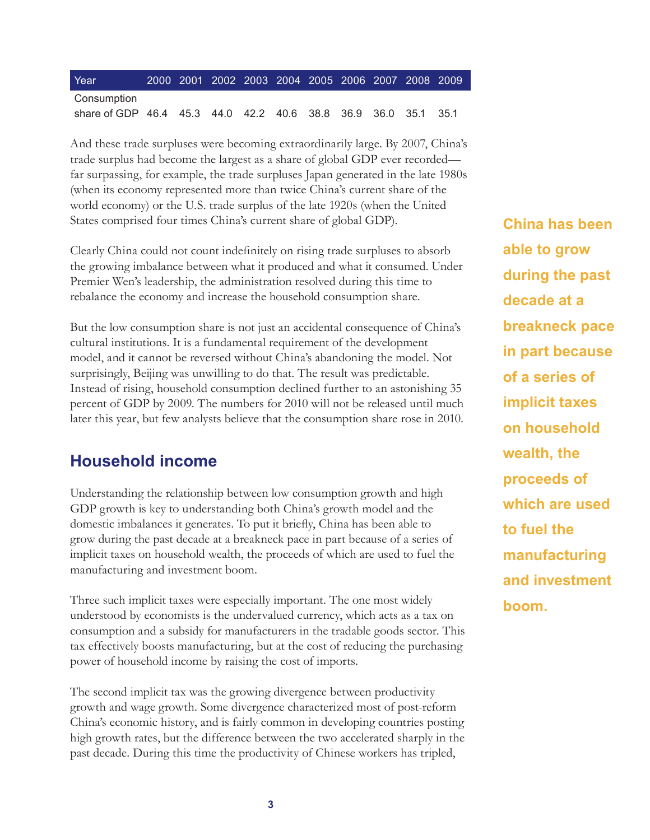| Year                                                           |  | 2000 2001 2002 2003 2004 2005 2006 2007 2008 2009 |  |  |  |  |
|----------------------------------------------------------------|--|---------------------------------------------------|--|--|--|--|
| Consumption                                                    |  |                                                   |  |  |  |  |
| share of GDP 46.4 45.3 44.0 42.2 40.6 38.8 36.9 36.0 35.1 35.1 |  |                                                   |  |  |  |  |

And these trade surpluses were becoming extraordinarily large. By 2007, China's trade surplus had become the largest as a share of global GDP ever recorded far surpassing, for example, the trade surpluses Japan generated in the late 1980s (when its economy represented more than twice China's current share of the world economy) or the U.S. trade surplus of the late 1920s (when the United States comprised four times China's current share of global GDP).

Clearly China could not count indefinitely on rising trade surpluses to absorb the growing imbalance between what it produced and what it consumed. Under Premier Wen's leadership, the administration resolved during this time to rebalance the economy and increase the household consumption share.

But the low consumption share is not just an accidental consequence of China's cultural institutions. It is a fundamental requirement of the development model, and it cannot be reversed without China's abandoning the model. Not surprisingly, Beijing was unwilling to do that. The result was predictable. Instead of rising, household consumption declined further to an astonishing 35 percent of GDP by 2009. The numbers for 2010 will not be released until much later this year, but few analysts believe that the consumption share rose in 2010.

#### **Household income**

Understanding the relationship between low consumption growth and high GDP growth is key to understanding both China's growth model and the domestic imbalances it generates. To put it briefly, China has been able to grow during the past decade at a breakneck pace in part because of a series of implicit taxes on household wealth, the proceeds of which are used to fuel the manufacturing and investment boom.

Three such implicit taxes were especially important. The one most widely understood by economists is the undervalued currency, which acts as a tax on consumption and a subsidy for manufacturers in the tradable goods sector. This tax effectively boosts manufacturing, but at the cost of reducing the purchasing power of household income by raising the cost of imports.

The second implicit tax was the growing divergence between productivity growth and wage growth. Some divergence characterized most of post-reform China's economic history, and is fairly common in developing countries posting high growth rates, but the difference between the two accelerated sharply in the past decade. During this time the productivity of Chinese workers has tripled,

**China has been able to grow during the past decade at a breakneck pace in part because of a series of implicit taxes on household wealth, the proceeds of which are used to fuel the manufacturing and investment boom.**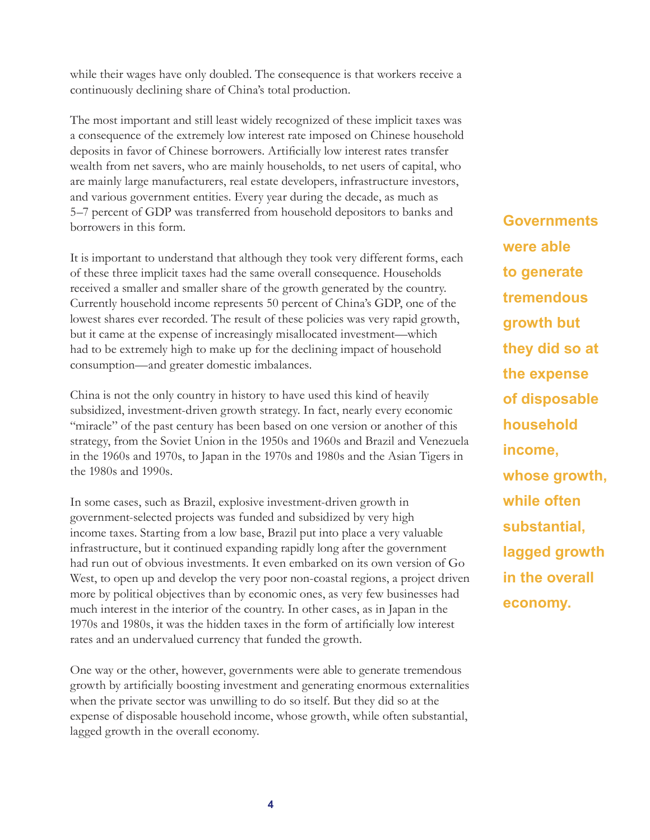while their wages have only doubled. The consequence is that workers receive a continuously declining share of China's total production.

The most important and still least widely recognized of these implicit taxes was a consequence of the extremely low interest rate imposed on Chinese household deposits in favor of Chinese borrowers. Artificially low interest rates transfer wealth from net savers, who are mainly households, to net users of capital, who are mainly large manufacturers, real estate developers, infrastructure investors, and various government entities. Every year during the decade, as much as 5–7 percent of GDP was transferred from household depositors to banks and borrowers in this form.

It is important to understand that although they took very different forms, each of these three implicit taxes had the same overall consequence. Households received a smaller and smaller share of the growth generated by the country. Currently household income represents 50 percent of China's GDP, one of the lowest shares ever recorded. The result of these policies was very rapid growth, but it came at the expense of increasingly misallocated investment—which had to be extremely high to make up for the declining impact of household consumption—and greater domestic imbalances.

China is not the only country in history to have used this kind of heavily subsidized, investment-driven growth strategy. In fact, nearly every economic "miracle" of the past century has been based on one version or another of this strategy, from the Soviet Union in the 1950s and 1960s and Brazil and Venezuela in the 1960s and 1970s, to Japan in the 1970s and 1980s and the Asian Tigers in the 1980s and 1990s.

In some cases, such as Brazil, explosive investment-driven growth in government-selected projects was funded and subsidized by very high income taxes. Starting from a low base, Brazil put into place a very valuable infrastructure, but it continued expanding rapidly long after the government had run out of obvious investments. It even embarked on its own version of Go West, to open up and develop the very poor non-coastal regions, a project driven more by political objectives than by economic ones, as very few businesses had much interest in the interior of the country. In other cases, as in Japan in the 1970s and 1980s, it was the hidden taxes in the form of artificially low interest rates and an undervalued currency that funded the growth.

One way or the other, however, governments were able to generate tremendous growth by artificially boosting investment and generating enormous externalities when the private sector was unwilling to do so itself. But they did so at the expense of disposable household income, whose growth, while often substantial, lagged growth in the overall economy.

**Governments were able to generate tremendous growth but they did so at the expense of disposable household income, whose growth, while often substantial, lagged growth in the overall economy.**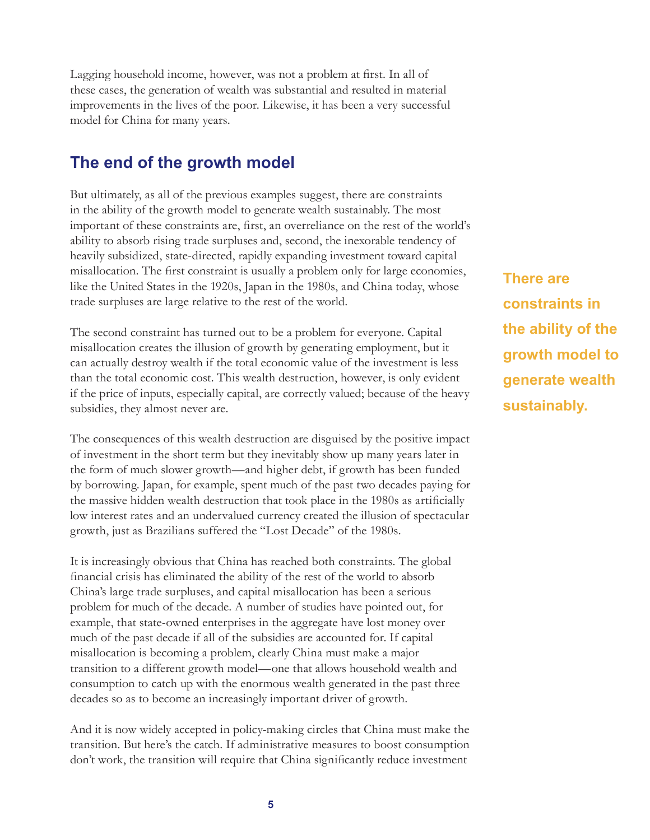Lagging household income, however, was not a problem at first. In all of these cases, the generation of wealth was substantial and resulted in material improvements in the lives of the poor. Likewise, it has been a very successful model for China for many years.

## **The end of the growth model**

But ultimately, as all of the previous examples suggest, there are constraints in the ability of the growth model to generate wealth sustainably. The most important of these constraints are, first, an overreliance on the rest of the world's ability to absorb rising trade surpluses and, second, the inexorable tendency of heavily subsidized, state-directed, rapidly expanding investment toward capital misallocation. The first constraint is usually a problem only for large economies, like the United States in the 1920s, Japan in the 1980s, and China today, whose trade surpluses are large relative to the rest of the world.

The second constraint has turned out to be a problem for everyone. Capital misallocation creates the illusion of growth by generating employment, but it can actually destroy wealth if the total economic value of the investment is less than the total economic cost. This wealth destruction, however, is only evident if the price of inputs, especially capital, are correctly valued; because of the heavy subsidies, they almost never are.

The consequences of this wealth destruction are disguised by the positive impact of investment in the short term but they inevitably show up many years later in the form of much slower growth—and higher debt, if growth has been funded by borrowing. Japan, for example, spent much of the past two decades paying for the massive hidden wealth destruction that took place in the 1980s as artificially low interest rates and an undervalued currency created the illusion of spectacular growth, just as Brazilians suffered the "Lost Decade" of the 1980s.

It is increasingly obvious that China has reached both constraints. The global financial crisis has eliminated the ability of the rest of the world to absorb China's large trade surpluses, and capital misallocation has been a serious problem for much of the decade. A number of studies have pointed out, for example, that state-owned enterprises in the aggregate have lost money over much of the past decade if all of the subsidies are accounted for. If capital misallocation is becoming a problem, clearly China must make a major transition to a different growth model—one that allows household wealth and consumption to catch up with the enormous wealth generated in the past three decades so as to become an increasingly important driver of growth.

And it is now widely accepted in policy-making circles that China must make the transition. But here's the catch. If administrative measures to boost consumption don't work, the transition will require that China significantly reduce investment

**There are constraints in the ability of the growth model to generate wealth sustainably.**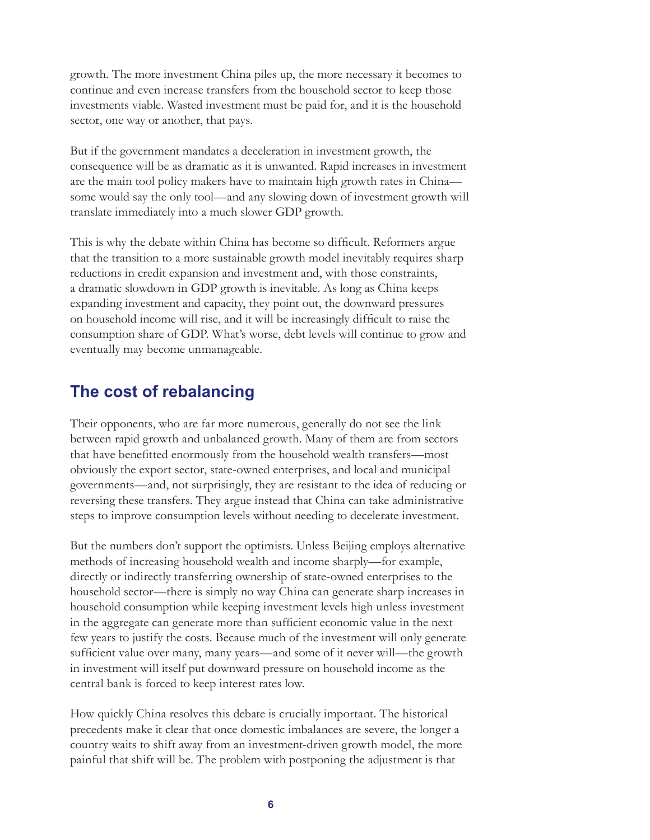growth. The more investment China piles up, the more necessary it becomes to continue and even increase transfers from the household sector to keep those investments viable. Wasted investment must be paid for, and it is the household sector, one way or another, that pays.

But if the government mandates a deceleration in investment growth, the consequence will be as dramatic as it is unwanted. Rapid increases in investment are the main tool policy makers have to maintain high growth rates in China some would say the only tool—and any slowing down of investment growth will translate immediately into a much slower GDP growth.

This is why the debate within China has become so difficult. Reformers argue that the transition to a more sustainable growth model inevitably requires sharp reductions in credit expansion and investment and, with those constraints, a dramatic slowdown in GDP growth is inevitable. As long as China keeps expanding investment and capacity, they point out, the downward pressures on household income will rise, and it will be increasingly difficult to raise the consumption share of GDP. What's worse, debt levels will continue to grow and eventually may become unmanageable.

### **The cost of rebalancing**

Their opponents, who are far more numerous, generally do not see the link between rapid growth and unbalanced growth. Many of them are from sectors that have benefitted enormously from the household wealth transfers—most obviously the export sector, state-owned enterprises, and local and municipal governments—and, not surprisingly, they are resistant to the idea of reducing or reversing these transfers. They argue instead that China can take administrative steps to improve consumption levels without needing to decelerate investment.

But the numbers don't support the optimists. Unless Beijing employs alternative methods of increasing household wealth and income sharply—for example, directly or indirectly transferring ownership of state-owned enterprises to the household sector—there is simply no way China can generate sharp increases in household consumption while keeping investment levels high unless investment in the aggregate can generate more than sufficient economic value in the next few years to justify the costs. Because much of the investment will only generate sufficient value over many, many years—and some of it never will—the growth in investment will itself put downward pressure on household income as the central bank is forced to keep interest rates low.

How quickly China resolves this debate is crucially important. The historical precedents make it clear that once domestic imbalances are severe, the longer a country waits to shift away from an investment-driven growth model, the more painful that shift will be. The problem with postponing the adjustment is that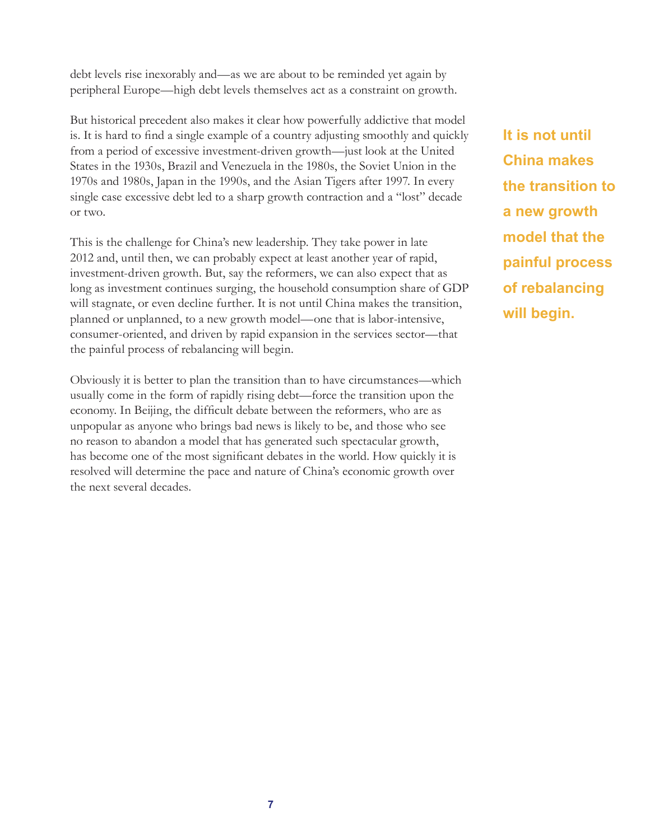debt levels rise inexorably and—as we are about to be reminded yet again by peripheral Europe—high debt levels themselves act as a constraint on growth.

But historical precedent also makes it clear how powerfully addictive that model is. It is hard to find a single example of a country adjusting smoothly and quickly from a period of excessive investment-driven growth—just look at the United States in the 1930s, Brazil and Venezuela in the 1980s, the Soviet Union in the 1970s and 1980s, Japan in the 1990s, and the Asian Tigers after 1997. In every single case excessive debt led to a sharp growth contraction and a "lost" decade or two.

This is the challenge for China's new leadership. They take power in late 2012 and, until then, we can probably expect at least another year of rapid, investment-driven growth. But, say the reformers, we can also expect that as long as investment continues surging, the household consumption share of GDP will stagnate, or even decline further. It is not until China makes the transition, planned or unplanned, to a new growth model—one that is labor-intensive, consumer-oriented, and driven by rapid expansion in the services sector—that the painful process of rebalancing will begin.

Obviously it is better to plan the transition than to have circumstances—which usually come in the form of rapidly rising debt—force the transition upon the economy. In Beijing, the difficult debate between the reformers, who are as unpopular as anyone who brings bad news is likely to be, and those who see no reason to abandon a model that has generated such spectacular growth, has become one of the most significant debates in the world. How quickly it is resolved will determine the pace and nature of China's economic growth over the next several decades.

**It is not until China makes the transition to a new growth model that the painful process of rebalancing will begin.**